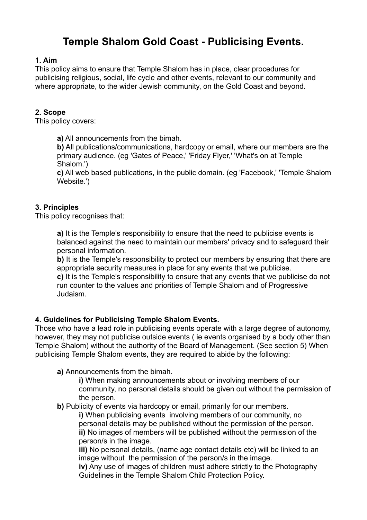# **Temple Shalom Gold Coast - Publicising Events.**

# **1. Aim**

This policy aims to ensure that Temple Shalom has in place, clear procedures for publicising religious, social, life cycle and other events, relevant to our community and where appropriate, to the wider Jewish community, on the Gold Coast and beyond.

## **2. Scope**

This policy covers:

**a)** All announcements from the bimah.

**b)** All publications/communications, hardcopy or email, where our members are the primary audience. (eg 'Gates of Peace,' 'Friday Flyer,' 'What's on at Temple Shalom.')

 **c)** All web based publications, in the public domain. (eg 'Facebook,' 'Temple Shalom Website.')

## **3. Principles**

This policy recognises that:

**a)** It is the Temple's responsibility to ensure that the need to publicise events is balanced against the need to maintain our members' privacy and to safeguard their personal information.

**b**) It is the Temple's responsibility to protect our members by ensuring that there are appropriate security measures in place for any events that we publicise.

 **c)** It is the Temple's responsibility to ensure that any events that we publicise do not run counter to the values and priorities of Temple Shalom and of Progressive Judaism.

#### **4. Guidelines for Publicising Temple Shalom Events.**

Those who have a lead role in publicising events operate with a large degree of autonomy, however, they may not publicise outside events ( ie events organised by a body other than Temple Shalom) without the authority of the Board of Management. (See section 5) When publicising Temple Shalom events, they are required to abide by the following:

#### **a)** Announcements from the bimah.

 **i)** When making announcements about or involving members of our community, no personal details should be given out without the permission of the person.

**b)** Publicity of events via hardcopy or email, primarily for our members.

 **i)** When publicising events involving members of our community, no personal details may be published without the permission of the person. **ii)** No images of members will be published without the permission of the person/s in the image.

 **iii)** No personal details, (name age contact details etc) will be linked to an image without the permission of the person/s in the image.

 **iv)** Any use of images of children must adhere strictly to the Photography Guidelines in the Temple Shalom Child Protection Policy.